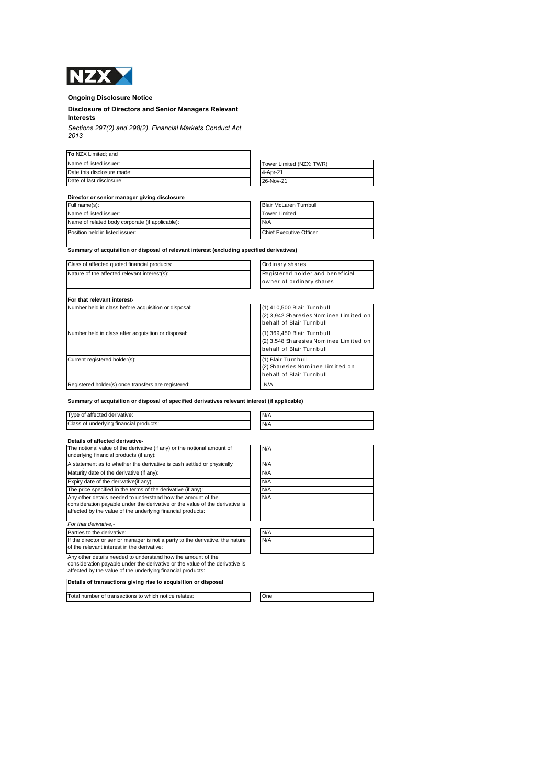

# **Ongoing Disclosure Notice**

### **Disclosure of Directors and Senior Managers Relevant Interests**

*Sections 297(2) and 298(2), Financial Markets Conduct Act 2013*

| To NZX Limited; and        |                          |
|----------------------------|--------------------------|
| Name of listed issuer:     | Tower Limited (NZX: TWR) |
| Date this disclosure made: | 4-Apr-21                 |
| Date of last disclosure:   | 26-Nov-21                |

| Tower Limited (NZX: TWR) |  |
|--------------------------|--|
| 4-Apr-21                 |  |
| 26-Nov-21                |  |

### **Director or senior manager giving disclosure** Full name(s)

| Full name(s):                                   | Blair McLaren Turnbull  |
|-------------------------------------------------|-------------------------|
| Name of listed issuer:                          | <b>Tower Limited</b>    |
| Name of related body corporate (if applicable): | N/A                     |
| Position held in listed issuer:                 | Chief Executive Officer |

**Summary of acquisition or disposal of relevant interest (excluding specified derivatives)** 

| Class of affected quoted financial products:         | Ordinary shares                                                                                  |
|------------------------------------------------------|--------------------------------------------------------------------------------------------------|
| Nature of the affected relevant interest(s):         | Registered holder and beneficial<br>owner of ordinary shares                                     |
| For that relevant interest-                          |                                                                                                  |
| Number held in class before acquisition or disposal: | (1) 410,500 Blair Turnbull<br>(2) 3,942 Sharesies Nominee Limited on<br>behalf of Blair Turnbull |
| Number held in class after acquisition or disposal:  | (1) 369,450 Blair Turnbull<br>(2) 3,548 Sharesies Nominee Limited on<br>behalf of Blair Turnbull |
| Current registered holder(s):                        | (1) Blair Turnbull<br>(2) Sharesies Nominee Limited on<br>behalf of Blair Turnbull               |
| Registered holder(s) once transfers are registered:  | N/A                                                                                              |

**Summary of acquisition or disposal of specified derivatives relevant interest (if applicable)**

| Type of affected derivative:            | N/A |
|-----------------------------------------|-----|
| Class of underlying financial products: | N/A |

# **Details of affected derivative-**

| The notional value of the derivative (if any) or the notional amount of<br>underlying financial products (if any):                                                                                          | N/A |
|-------------------------------------------------------------------------------------------------------------------------------------------------------------------------------------------------------------|-----|
| A statement as to whether the derivative is cash settled or physically                                                                                                                                      | N/A |
| Maturity date of the derivative (if any):                                                                                                                                                                   | N/A |
| Expiry date of the derivative (if any):                                                                                                                                                                     | N/A |
| The price specified in the terms of the derivative (if any):                                                                                                                                                | N/A |
| Any other details needed to understand how the amount of the<br>consideration payable under the derivative or the value of the derivative is<br>affected by the value of the underlying financial products: | N/A |
| For that derivative.-                                                                                                                                                                                       |     |
| Parties to the derivative:                                                                                                                                                                                  | N/A |
| If the director or senior manager is not a party to the derivative, the nature<br>of the relevant interest in the derivative:                                                                               | N/A |
| Any other details needed to understand how the amount of the<br>المؤالف وكفور كولمان الملطانية والمترادي والمناطر والمتواطن والمتحاف والمتواطن والمالور ومراجع والمتواطن والمتواطن                          |     |

n payable under the derivative or the value of the derivative is affected by the value of the underlying financial products:

**Details of transactions giving rise to acquisition or disposal**

Total number of transactions to which notice relates: One